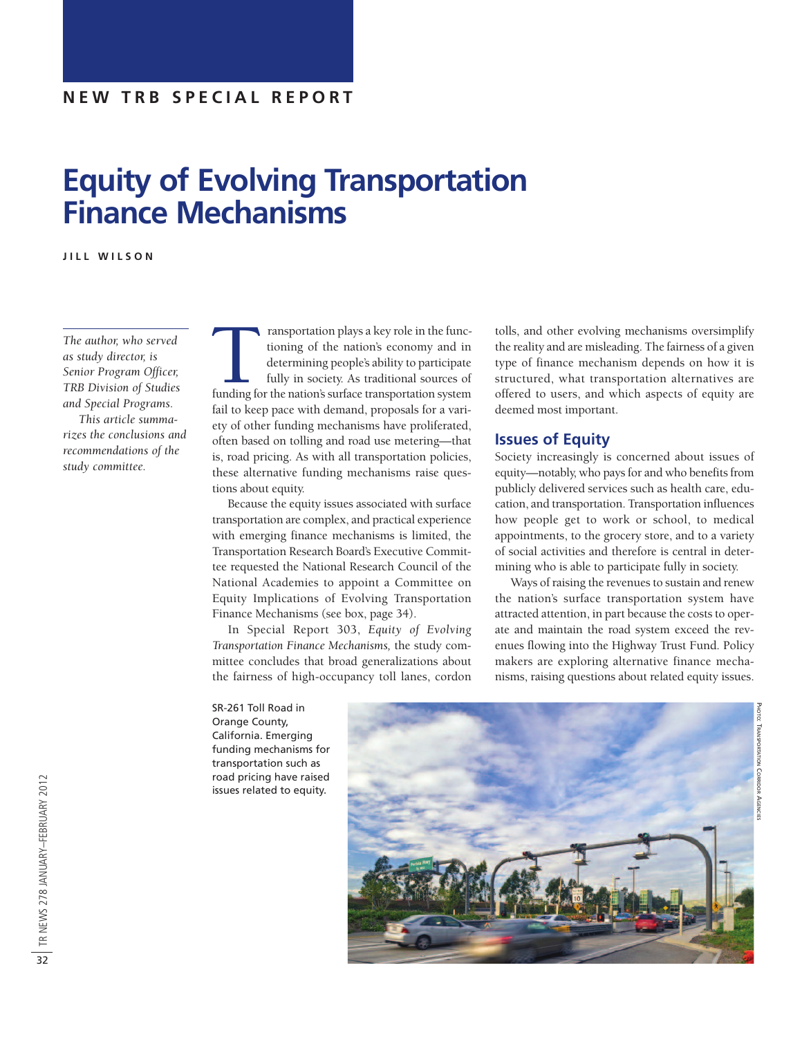# **Equity of Evolving Transportation Finance Mechanisms**

**J I L L W I L S O N**

*The author, who served as study director, is Senior Program Officer, TRB Division of Studies and Special Programs. This article summarizes the conclusions and recommendations of the study committee.*

Transportation plays a key role in the functioning of the nation's economy and in determining people's ability to participate fully in society. As traditional sources of funding for the nation's surface transportation syst tioning of the nation's economy and in determining people's ability to participate fully in society. As traditional sources of fail to keep pace with demand, proposals for a variety of other funding mechanisms have proliferated, often based on tolling and road use metering—that is, road pricing. As with all transportation policies, these alternative funding mechanisms raise questions about equity.

Because the equity issues associated with surface transportation are complex, and practical experience with emerging finance mechanisms is limited, the Transportation Research Board's Executive Committee requested the National Research Council of the National Academies to appoint a Committee on Equity Implications of Evolving Transportation Finance Mechanisms (see box, page 34).

In Special Report 303, *Equity of Evolving Transportation Finance Mechanisms,* the study committee concludes that broad generalizations about the fairness of high-occupancy toll lanes, cordon tolls, and other evolving mechanisms oversimplify the reality and are misleading. The fairness of a given type of finance mechanism depends on how it is structured, what transportation alternatives are offered to users, and which aspects of equity are deemed most important.

## **Issues of Equity**

Society increasingly is concerned about issues of equity—notably, who pays for and who benefits from publicly delivered services such as health care, education, and transportation. Transportation influences how people get to work or school, to medical appointments, to the grocery store, and to a variety of social activities and therefore is central in determining who is able to participate fully in society.

Ways of raising the revenues to sustain and renew the nation's surface transportation system have attracted attention, in part because the costs to operate and maintain the road system exceed the revenues flowing into the Highway Trust Fund. Policy makers are exploring alternative finance mechanisms, raising questions about related equity issues.

PHOTO:

TRANSPORTATION

CORRIDOR

AGENCIES

SR-261 Toll Road in Orange County, California. Emerging funding mechanisms for transportation such as road pricing have raised issues related to equity.

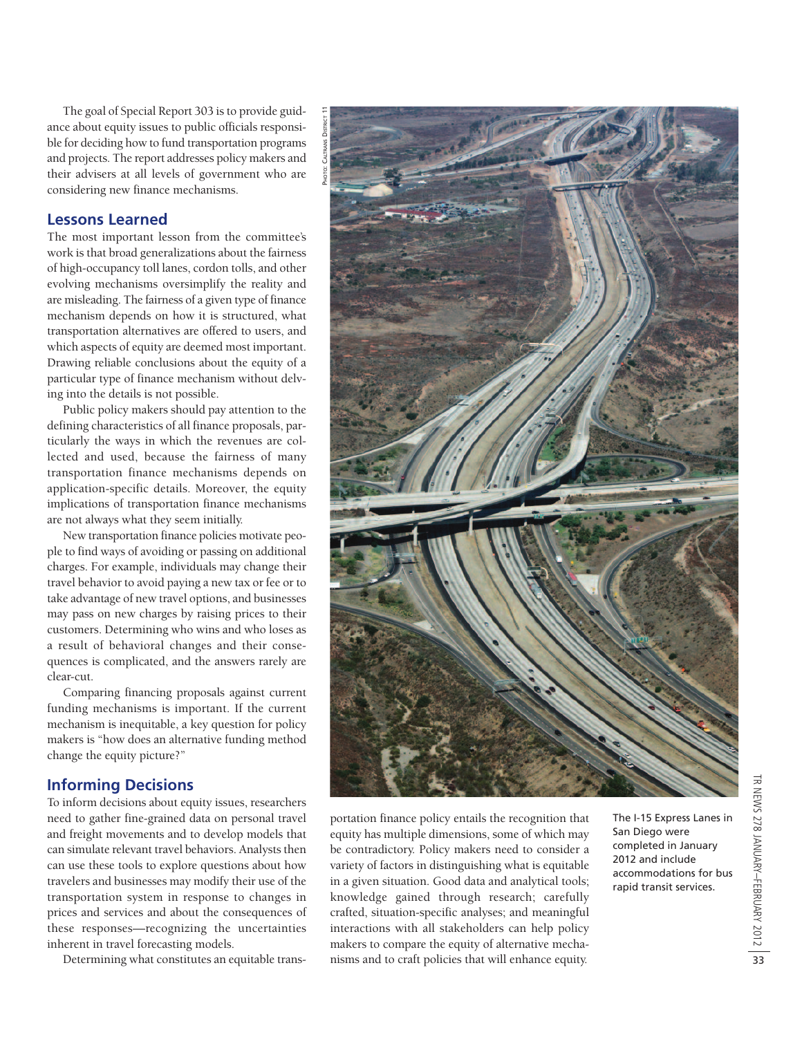The goal of Special Report 303 isto provide guidance about equity issues to public officials responsible for deciding how to fund transportation programs and projects. The report addresses policy makers and their advisers at all levels of government who are considering new finance mechanisms.

## **Lessons Learned**

The most important lesson from the committee's work is that broad generalizations about the fairness of high-occupancy toll lanes, cordon tolls, and other evolving mechanisms oversimplify the reality and are misleading. The fairness of a given type of finance mechanism depends on how it is structured, what transportation alternatives are offered to users, and which aspects of equity are deemed most important. Drawing reliable conclusions about the equity of a particular type of finance mechanism without delving into the details is not possible.

Public policy makers should pay attention to the defining characteristics of all finance proposals, particularly the ways in which the revenues are collected and used, because the fairness of many transportation finance mechanisms depends on application-specific details. Moreover, the equity implications of transportation finance mechanisms are not always what they seem initially.

New transportation finance policies motivate people to find ways of avoiding or passing on additional charges. For example, individuals may change their travel behavior to avoid paying a new tax or fee or to take advantage of new travel options, and businesses may pass on new charges by raising prices to their customers. Determining who wins and who loses as a result of behavioral changes and their consequences is complicated, and the answers rarely are clear-cut.

Comparing financing proposals against current funding mechanisms is important. If the current mechanism is inequitable, a key question for policy makers is "how does an alternative funding method change the equity picture?"

# **Informing Decisions**

To inform decisions about equity issues, researchers need to gather fine-grained data on personal travel and freight movements and to develop models that can simulate relevant travel behaviors. Analysts then can use these tools to explore questions about how travelers and businesses may modify their use of the transportation system in response to changes in prices and services and about the consequences of these responses—recognizing the uncertainties inherent in travel forecasting models.

Determining what constitutes an equitable trans-



portation finance policy entails the recognition that equity has multiple dimensions, some of which may be contradictory. Policy makers need to consider a variety of factors in distinguishing what is equitable in a given situation. Good data and analytical tools; knowledge gained through research; carefully crafted, situation-specific analyses; and meaningful interactions with all stakeholders can help policy makers to compare the equity of alternative mechanisms and to craft policies that will enhance equity.

The I-15 Express Lanes in San Diego were completed in January 2012 and include accommodations for bus rapid transit services.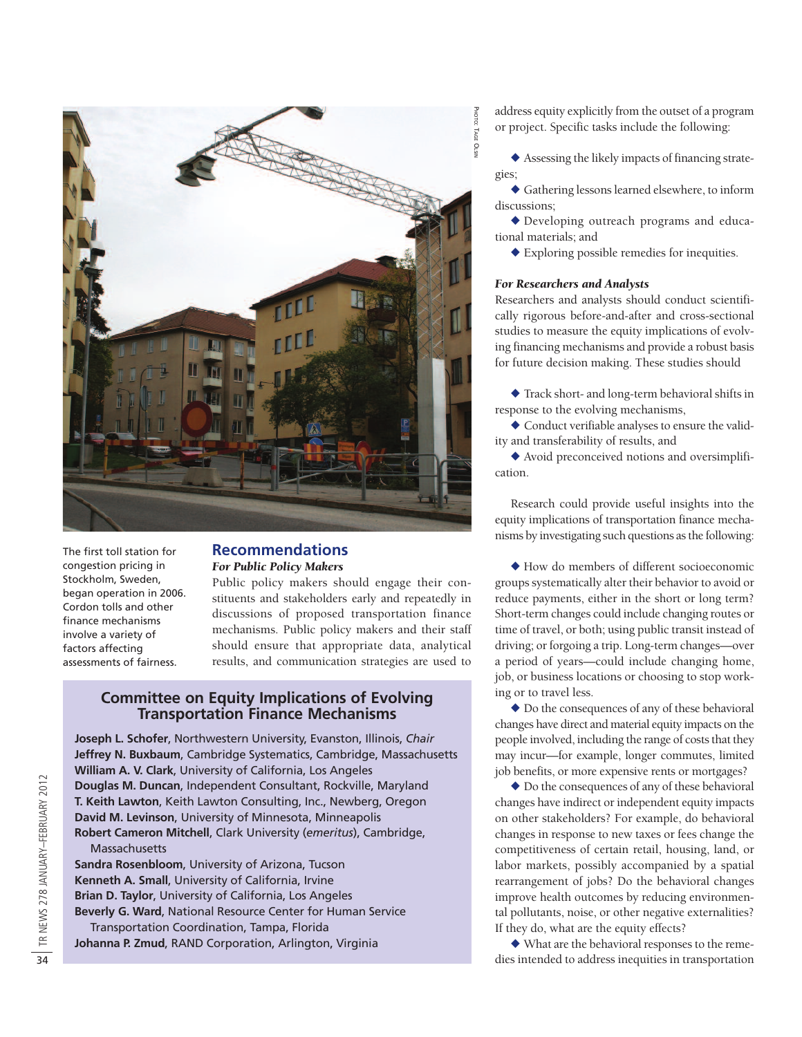

The first toll station for congestion pricing in Stockholm, Sweden, began operation in 2006. Cordon tolls and other finance mechanisms involve a variety of factors affecting assessments of fairness.

# **Recommendations** *For Public Policy Makers*

Public policy makers should engage their constituents and stakeholders early and repeatedly in discussions of proposed transportation finance mechanisms. Public policy makers and their staff should ensure that appropriate data, analytical results, and communication strategies are used to

# **Committee on Equity Implications of Evolving Transportation Finance Mechanisms**

**Joseph L. Schofer**, Northwestern University, Evanston, Illinois, *Chair* **Jeffrey N. Buxbaum**, Cambridge Systematics, Cambridge, Massachusetts **William A. V. Clark**, University of California, Los Angeles **Douglas M. Duncan**, Independent Consultant, Rockville, Maryland **T. Keith Lawton**, Keith Lawton Consulting, Inc., Newberg, Oregon **David M. Levinson**, University of Minnesota, Minneapolis **Robert Cameron Mitchell**, Clark University (*emeritus*), Cambridge, **Massachusetts** 

**Sandra Rosenbloom**, University of Arizona, Tucson **Kenneth A. Small**, University of California, Irvine **Brian D. Taylor**, University of California, Los Angeles **Beverly G. Ward**, National Resource Center for Human Service Transportation Coordination, Tampa, Florida **Johanna P. Zmud**, RAND Corporation, Arlington, Virginia

address equity explicitly from the outset of a program or project. Specific tasks include the following:

 $\blacklozenge$  Assessing the likely impacts of financing strategies;

 $\blacklozenge$  Gathering lessons learned elsewhere, to inform discussions;

 $\blacklozenge$  Developing outreach programs and educational materials; and

 $\blacklozenge$  Exploring possible remedies for inequities.

## *For Researchers and Analysts*

Researchers and analysts should conduct scientifically rigorous before-and-after and cross-sectional studies to measure the equity implications of evolving financing mechanisms and provide a robust basis for future decision making. These studies should

 $\triangle$  Track short- and long-term behavioral shifts in response to the evolving mechanisms,

 $\blacklozenge$  Conduct verifiable analyses to ensure the validity and transferability of results, and

 $\blacklozenge$  Avoid preconceived notions and oversimplification.

Research could provide useful insights into the equity implications of transportation finance mechanisms by investigating such questions asthe following:

 $\blacklozenge$  How do members of different socioeconomic groups systematically alter their behavior to avoid or reduce payments, either in the short or long term? Short-term changes could include changing routes or time of travel, or both; using public transit instead of driving; or forgoing a trip. Long-term changes—over a period of years—could include changing home, job, or business locations or choosing to stop working or to travel less.

 $\blacklozenge$  Do the consequences of any of these behavioral changes have direct and material equity impacts on the people involved, including the range of costs that they may incur—for example, longer commutes, limited job benefits, or more expensive rents or mortgages?

 $\blacklozenge$  Do the consequences of any of these behavioral changes have indirect or independent equity impacts on other stakeholders? For example, do behavioral changes in response to new taxes or fees change the competitiveness of certain retail, housing, land, or labor markets, possibly accompanied by a spatial rearrangement of jobs? Do the behavioral changes improve health outcomes by reducing environmental pollutants, noise, or other negative externalities? If they do, what are the equity effects?

 $\blacklozenge$  What are the behavioral responses to the remedies intended to address inequities in transportation